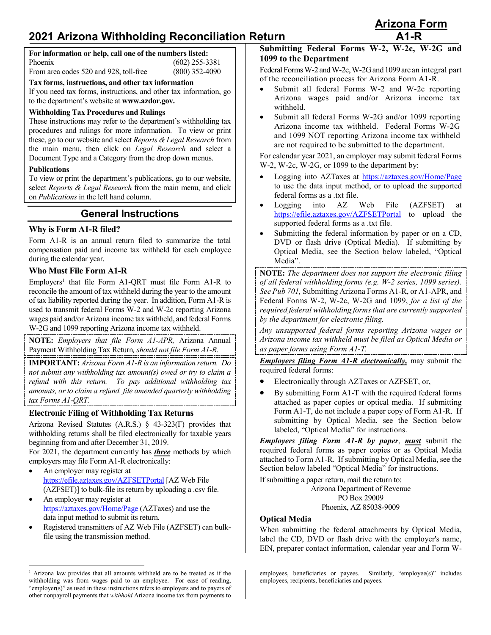# **2021 Arizona Withholding Reconciliation Return A1-R**

| For information or help, call one of the numbers listed: |                  |
|----------------------------------------------------------|------------------|
| Phoenix                                                  | $(602)$ 255-3381 |
| From area codes 520 and 928, toll-free                   | $(800)$ 352-4090 |

**Tax forms, instructions, and other tax information**

If you need tax forms, instructions, and other tax information, go to the department's website at **[www.azdor.gov.](http://www.azdor.gov/)**

#### **Withholding Tax Procedures and Rulings**

These instructions may refer to the department's withholding tax procedures and rulings for more information. To view or print the main menu, then click on *Legal Research* and select a

#### **Publications**

## **General Instructions**

#### **Why is Form A1-R filed?**

Form A1-R is an annual return filed to summarize the total compensation paid and income tax withheld for each employee during the calendar year.

#### **Who Must File Form A1-R**

 $Emplovers<sup>1</sup>$  $Emplovers<sup>1</sup>$  $Emplovers<sup>1</sup>$  that file Form A1-ORT must file Form A1-R to reconcile the amount of tax withheld during the year to the amount of tax liability reported during the year. In addition, Form A1-R is used to transmit federal Forms W-2 and W-2c reporting Arizona wages paid and/or Arizona income tax withheld, and federal Forms W-2G and 1099 reporting Arizona income tax withheld.

**NOTE:** *Employers that file Form A1-APR,* Arizona Annual Payment Withholding Tax Return*, should not file Form A1-R.*

**IMPORTANT:** *Arizona Form A1-R is an information return. Do not submit any withholding tax amount(s) owed or try to claim a refund with this return. To pay additional withholding tax amounts, or to claim a refund, file amended quarterly withholding tax Forms A1-QRT.*

#### **Electronic Filing of Withholding Tax Returns**

Arizona Revised Statutes (A.R.S.) § 43-323(F) provides that withholding returns shall be filed electronically for taxable years beginning from and after December 31, 2019.

For 2021, the department currently has *three* methods by which employers may file Form A1-R electronically:

- An employer may register at <https://efile.aztaxes.gov/AZFSETPortal> [AZ Web File (AZFSET)] to bulk-file its return by uploading a .csv file.
- An employer may register at <https://aztaxes.gov/Home/Page> (AZTaxes) and use the data input method to submit its return.
- Registered transmitters of AZ Web File (AZFSET) can bulkfile using the transmission method.

Document Type and a Category from the drop down menus.

To view or print the department's publications, go to our website, select *Reports & Legal Research* from the main menu, and click on *Publications* in the left hand column.

## **Submitting Federal Forms W-2, W-2c, W-2G and 1099 to the Department**

Federal Forms W-2 and W-2c, W-2G and 1099 are an integral part of the reconciliation process for Arizona Form A1-R.

- Submit all federal Forms W-2 and W-2c reporting Arizona wages paid and/or Arizona income tax withheld.
- Submit all federal Forms W-2G and/or 1099 reporting Arizona income tax withheld. Federal Forms W-2G and 1099 NOT reporting Arizona income tax withheld are not required to be submitted to the department.

For calendar year 2021, an employer may submit federal Forms W-2, W-2c, W-2G, or 1099 to the department by:

- Logging into AZTaxes at<https://aztaxes.gov/Home/Page> to use the data input method, or to upload the supported federal forms as a .txt file.
- Logging into AZ Web File (AZFSET) at <https://efile.aztaxes.gov/AZFSETPortal> to upload the supported federal forms as a .txt file.
- Submitting the federal information by paper or on a CD, DVD or flash drive (Optical Media). If submitting by Optical Media, see the Section below labeled, "Optical Media".

**NOTE:** *The department does not support the electronic filing of all federal withholding forms (e.g. W-2 series, 1099 series). See Pub 701,* Submitting Arizona Forms A1-R, or A1-APR, and Federal Forms W-2, W-2c, W-2G and 1099, *for a list of the required federal withholding forms that are currently supported by the department for electronic filing.*

*Any unsupported federal forms reporting Arizona wages or Arizona income tax withheld must be filed as Optical Media or as paper forms using Form A1-T.*

*Employers filing Form A1-R electronically,* may submit the required federal forms:

- Electronically through AZTaxes or AZFSET, or,
- By submitting Form A1-T with the required federal forms attached as paper copies or optical media. If submitting Form A1-T, do not include a paper copy of Form A1-R. If submitting by Optical Media, see the Section below labeled, "Optical Media" for instructions.

*Employers filing Form A1-R by paper*, *must* submit the required federal forms as paper copies or as Optical Media attached to Form A1-R. If submitting by Optical Media, see the Section below labeled "Optical Media" for instructions.

If submitting a paper return, mail the return to:

Arizona Department of Revenue PO Box 29009 Phoenix, AZ 85038-9009

## **Optical Media**

When submitting the federal attachments by Optical Media, label the CD, DVD or flash drive with the employer's name, EIN, preparer contact information, calendar year and Form W-

**Arizona Form**

these, go to our website and select *Reports & Legal Research* from

<span id="page-0-0"></span><sup>&</sup>lt;sup>1</sup> Arizona law provides that all amounts withheld are to be treated as if the withholding was from wages paid to an employee. For ease of reading, "employer(s)" as used in these instructions refers to employers and to payers of other nonpayroll payments that *withhold* Arizona income tax from payments to

employees, beneficiaries or payees. Similarly, "employee(s)" includes employees, recipients, beneficiaries and payees.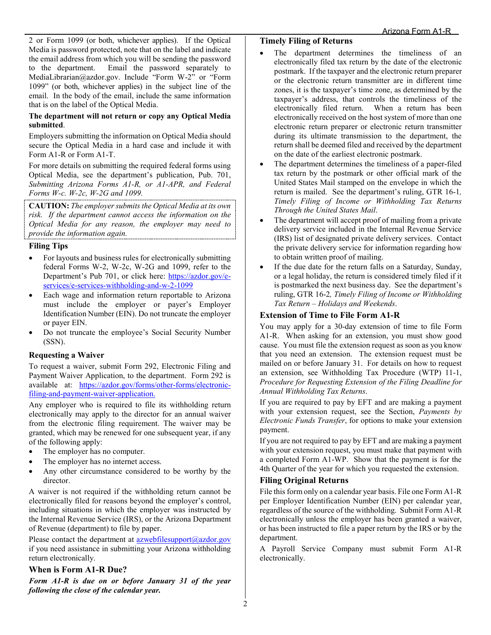2 or Form 1099 (or both, whichever applies). If the Optical Media is password protected, note that on the label and indicate the email address from which you will be sending the password to the department. Email the password separately to MediaLibrarian@azdor.gov. Include "Form W-2" or "Form 1099" (or both, whichever applies) in the subject line of the email. In the body of the email, include the same information that is on the label of the Optical Media.

#### **The department will not return or copy any Optical Media submitted**.

Employers submitting the information on Optical Media should secure the Optical Media in a hard case and include it with Form A1-R or Form A1-T.

For more details on submitting the required federal forms using Optical Media, see the department's publication, Pub. 701, *Submitting Arizona Forms A1-R, or A1-APR, and Federal Forms W-c. W-2c, W-2G and 1099.*

**CAUTION:** *The employer submits the Optical Media at its own risk. If the department cannot access the information on the Optical Media for any reason, the employer may need to provide the information again.* 

#### **Filing Tips**

- For layouts and business rules for electronically submitting federal Forms W-2, W-2c, W-2G and 1099, refer to the Department's Pub 701, or click here: [https://azdor.gov/e](https://azdor.gov/e-services/e-services-withholding-and-w-2-1099)[services/e-services-withholding-and-w-2-1099](https://azdor.gov/e-services/e-services-withholding-and-w-2-1099)
- Each wage and information return reportable to Arizona must include the employer or payer's Employer Identification Number (EIN). Do not truncate the employer or payer EIN.
- Do not truncate the employee's Social Security Number (SSN).

#### **Requesting a Waiver**

To request a waiver, submit Form 292, Electronic Filing and Payment Waiver Application, to the department. Form 292 is available at: https://azdor.gov/forms/other-forms/electronicfiling-and-payment-waiver-application.

Any employer who is required to file its withholding return electronically may apply to the director for an annual waiver from the electronic filing requirement. The waiver may be granted, which may be renewed for one subsequent year, if any of the following apply:

- The employer has no computer.
- The employer has no internet access.
- Any other circumstance considered to be worthy by the director.

A waiver is not required if the withholding return cannot be electronically filed for reasons beyond the employer's control, including situations in which the employer was instructed by the Internal Revenue Service (IRS), or the Arizona Department of Revenue (department) to file by paper.

Please contact the department at  $a$ zwebfilesupport $(a)$ <sub>azdor.gov</sub> if you need assistance in submitting your Arizona withholding return electronically.

#### **When is Form A1-R Due?**

*Form A1-R is due on or before January 31 of the year following the close of the calendar year.* 

#### **Timely Filing of Returns**

- The department determines the timeliness of an electronically filed tax return by the date of the electronic postmark. If the taxpayer and the electronic return preparer or the electronic return transmitter are in different time zones, it is the taxpayer's time zone, as determined by the taxpayer's address, that controls the timeliness of the electronically filed return. When a return has been electronically received on the host system of more than one electronic return preparer or electronic return transmitter during its ultimate transmission to the department, the return shall be deemed filed and received by the department on the date of the earliest electronic postmark.
- The department determines the timeliness of a paper-filed tax return by the postmark or other official mark of the United States Mail stamped on the envelope in which the return is mailed. See the department's ruling, GTR 16-1*, Timely Filing of Income or Withholding Tax Returns Through the United States Mail*.
- The department will accept proof of mailing from a private delivery service included in the Internal Revenue Service (IRS) list of designated private delivery services. Contact the private delivery service for information regarding how to obtain written proof of mailing.
- If the due date for the return falls on a Saturday, Sunday, or a legal holiday, the return is considered timely filed if it is postmarked the next business day. See the department's ruling, GTR 16-2*, Timely Filing of Income or Withholding Tax Return – Holidays and Weekends*.

### **Extension of Time to File Form A1-R**

You may apply for a 30-day extension of time to file Form A1-R. When asking for an extension, you must show good cause. You must file the extension request as soon as you know that you need an extension. The extension request must be mailed on or before January 31. For details on how to request an extension, see Withholding Tax Procedure (WTP) 11-1, *Procedure for Requesting Extension of the Filing Deadline for Annual Withholding Tax Returns*.

If you are required to pay by EFT and are making a payment with your extension request, see the Section, *Payments by Electronic Funds Transfer*, for options to make your extension payment.

If you are not required to pay by EFT and are making a payment with your extension request, you must make that payment with a completed Form A1-WP. Show that the payment is for the 4th Quarter of the year for which you requested the extension.

## **Filing Original Returns**

File this form only on a calendar year basis. File one Form A1-R per Employer Identification Number (EIN) per calendar year, regardless of the source of the withholding. Submit Form A1-R electronically unless the employer has been granted a waiver, or has been instructed to file a paper return by the IRS or by the department.

A Payroll Service Company must submit Form A1-R electronically.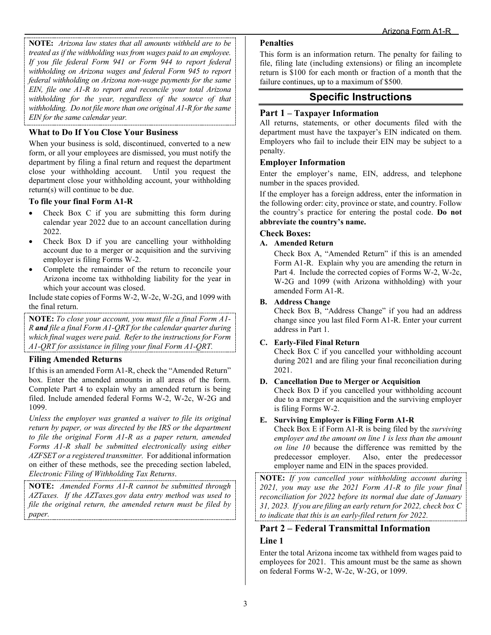**NOTE:** *Arizona law states that all amounts withheld are to be treated as if the withholding was from wages paid to an employee. If you file federal Form 941 or Form 944 to report federal withholding on Arizona wages and federal Form 945 to report federal withholding on Arizona non-wage payments for the same EIN, file one A1-R to report and reconcile your total Arizona withholding for the year, regardless of the source of that withholding. Do not file more than one original A1-R for the same EIN for the same calendar year.* 

## **What to Do If You Close Your Business**

When your business is sold, discontinued, converted to a new form, or all your employees are dismissed, you must notify the department by filing a final return and request the department close your withholding account. Until you request the department close your withholding account, your withholding return(s) will continue to be due.

#### **To file your final Form A1-R**

- Check Box C if you are submitting this form during calendar year 2022 due to an account cancellation during 2022.
- Check Box D if you are cancelling your withholding account due to a merger or acquisition and the surviving employer is filing Forms W-2.
- Complete the remainder of the return to reconcile your Arizona income tax withholding liability for the year in which your account was closed.

Include state copies of Forms W-2, W-2c, W-2G, and 1099 with the final return.

**NOTE:** *To close your account, you must file a final Form A1- R and file a final Form A1-QRT for the calendar quarter during which final wages were paid. Refer to the instructions for Form A1-QRT for assistance in filing your final Form A1-QRT.* 

#### **Filing Amended Returns**

If this is an amended Form A1-R, check the "Amended Return" box. Enter the amended amounts in all areas of the form. Complete Part 4 to explain why an amended return is being filed. Include amended federal Forms W-2, W-2c, W-2G and 1099.

*Unless the employer was granted a waiver to file its original return by paper, or was directed by the IRS or the department to file the original Form A1-R as a paper return, amended Forms A1-R shall be submitted electronically using either AZFSET or a registered transmitter.* For additional information on either of these methods, see the preceding section labeled, *Electronic Filing of Withholding Tax Returns*.

**NOTE:** *Amended Forms A1-R cannot be submitted through AZTaxes. If the AZTaxes.gov data entry method was used to file the original return, the amended return must be filed by paper.* 

#### **Penalties**

This form is an information return. The penalty for failing to file, filing late (including extensions) or filing an incomplete return is \$100 for each month or fraction of a month that the failure continues, up to a maximum of \$500.

## **Specific Instructions**

#### **Part 1 – Taxpayer Information**

All returns, statements, or other documents filed with the department must have the taxpayer's EIN indicated on them. Employers who fail to include their EIN may be subject to a penalty.

#### **Employer Information**

Enter the employer's name, EIN, address, and telephone number in the spaces provided.

If the employer has a foreign address, enter the information in the following order: city, province or state, and country. Follow the country's practice for entering the postal code. **Do not abbreviate the country's name.**

#### **Check Boxes:**

#### **A. Amended Return**

Check Box A, "Amended Return" if this is an amended Form A1-R. Explain why you are amending the return in Part 4. Include the corrected copies of Forms W-2, W-2c, W-2G and 1099 (with Arizona withholding) with your amended Form A1-R.

#### **B. Address Change**

Check Box B, "Address Change" if you had an address change since you last filed Form A1-R. Enter your current address in Part 1.

#### **C. Early-Filed Final Return**

Check Box C if you cancelled your withholding account during 2021 and are filing your final reconciliation during 2021.

#### **D. Cancellation Due to Merger or Acquisition**

Check Box D if you cancelled your withholding account due to a merger or acquisition and the surviving employer is filing Forms W-2.

#### **E. Surviving Employer is Filing Form A1-R**

Check Box E if Form A1-R is being filed by the *surviving employer and the amount on line 1 is less than the amount on line 10* because the difference was remitted by the predecessor employer. Also, enter the predecessor employer name and EIN in the spaces provided.

**NOTE:** *If you cancelled your withholding account during 2021, you may use the 2021 Form A1-R to file your final reconciliation for 2022 before its normal due date of January 31, 2023. If you are filing an early return for 2022, check box C to indicate that this is an early-filed return for 2022.* 

#### **Part 2 – Federal Transmittal Information**

#### **Line 1**

Enter the total Arizona income tax withheld from wages paid to employees for 2021. This amount must be the same as shown on federal Forms W-2, W-2c, W-2G, or 1099.